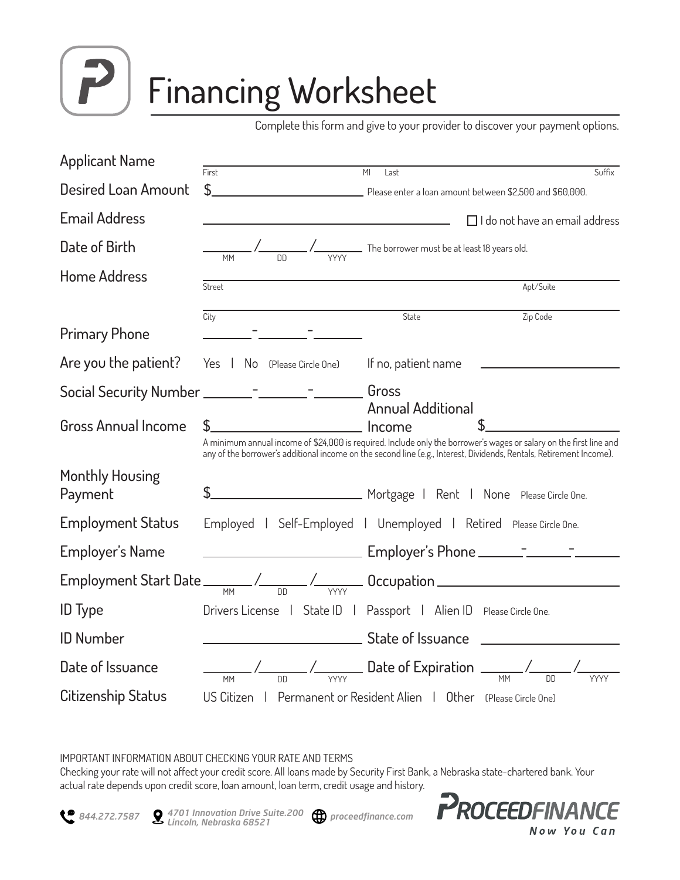

# Financing Worksheet

Complete this form and give to your provider to discover your payment options.

| <b>Applicant Name</b>             |                                                                                       |                                                                                                                                                |
|-----------------------------------|---------------------------------------------------------------------------------------|------------------------------------------------------------------------------------------------------------------------------------------------|
| Desired Loan Amount               | First<br>\$                                                                           | MI<br>Suffix<br>Last<br>Please enter a loan amount between \$2,500 and \$60,000.                                                               |
| <b>Email Address</b>              |                                                                                       | $\Box$ I do not have an email address                                                                                                          |
| Date of Birth                     |                                                                                       | $\frac{1}{1}$ $\frac{1}{1}$ $\frac{1}{1}$ $\frac{1}{1}$ $\frac{1}{1}$ $\frac{1}{1}$ The borrower must be at least 18 years old.                |
| <b>Home Address</b>               | Street                                                                                | Apt/Suite                                                                                                                                      |
|                                   | City                                                                                  | Zip Code<br>State                                                                                                                              |
| <b>Primary Phone</b>              |                                                                                       |                                                                                                                                                |
| Are you the patient?              | Yes   No (Please Circle One)    If no, patient name                                   |                                                                                                                                                |
|                                   | Social Security Number ________ <sup>_</sup> _______ <sup>_</sup> _____________ Gross |                                                                                                                                                |
| <b>Gross Annual Income</b>        | <b>CONFIDENTIAL CONFIDENT</b> Income                                                  | <b>Annual Additional</b><br>A minimum annual income of \$24,000 is required. Include only the borrower's wages or salary on the first line and |
|                                   |                                                                                       | any of the borrower's additional income on the second line (e.g., Interest, Dividends, Rentals, Retirement Income).                            |
| <b>Monthly Housing</b><br>Payment |                                                                                       |                                                                                                                                                |
| <b>Employment Status</b>          |                                                                                       | Employed   Self-Employed   Unemployed   Retired Please Circle One.                                                                             |
| Employer's Name                   |                                                                                       |                                                                                                                                                |
|                                   |                                                                                       | Employment Start Date $\frac{1}{100}$ / $\frac{1}{100}$ / $\frac{1}{100}$ Occupation $\frac{1}{100}$                                           |
| <b>ID</b> Type                    |                                                                                       | Drivers License   State ID   Passport   Alien ID Please Circle One.                                                                            |
| <b>ID Number</b>                  |                                                                                       |                                                                                                                                                |
| Date of Issuance                  |                                                                                       | $\frac{1}{100}$ / $\frac{1}{100}$ / $\frac{1}{100}$ Date of Expiration $\frac{1}{100}$ / $\frac{1}{100}$ /                                     |
| Citizenship Status                |                                                                                       | US Citizen   Permanent or Resident Alien   Other (Please Circle One)                                                                           |

#### IMPORTANT INFORMATION ABOUT CHECKING YOUR RATE AND TERMS

Checking your rate will not affect your credit score. All loans made by Security First Bank, a Nebraska state-chartered bank. Your actual rate depends upon credit score, loan amount, loan term, credit usage and history.